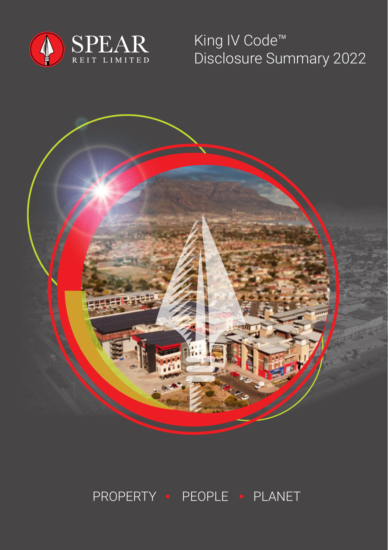

King IV Code™ Disclosure Summary 2022



## PROPERTY · PEOPLE · PLANET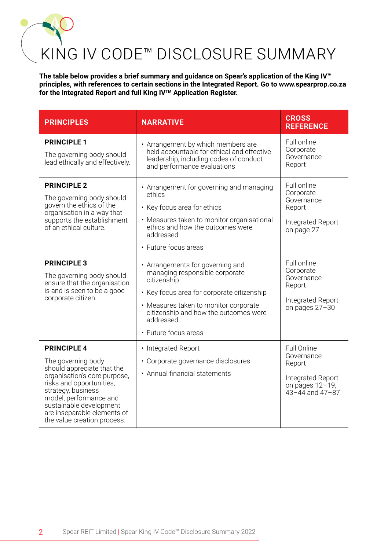## KING IV CODE™ DISCLOSURE SUMMARY

**The table below provides a brief summary and guidance on Spear's application of the King IV™ principles, with references to certain sections in the Integrated Report. Go to www.spearprop.co.za for the Integrated Report and full King IVTM Application Register.**

| <b>PRINCIPLES</b>                                                                                                                                                                                                                                                           | <b>NARRATIVE</b>                                                                                                                                                                                                                                       | <b>CROSS</b><br><b>REFERENCE</b>                                                                       |
|-----------------------------------------------------------------------------------------------------------------------------------------------------------------------------------------------------------------------------------------------------------------------------|--------------------------------------------------------------------------------------------------------------------------------------------------------------------------------------------------------------------------------------------------------|--------------------------------------------------------------------------------------------------------|
| <b>PRINCIPLE 1</b><br>The governing body should<br>lead ethically and effectively.                                                                                                                                                                                          | • Arrangement by which members are<br>held accountable for ethical and effective<br>leadership, including codes of conduct<br>and performance evaluations                                                                                              | Full online<br>Corporate<br>Governance<br>Report                                                       |
| <b>PRINCIPLE 2</b><br>The governing body should<br>govern the ethics of the<br>organisation in a way that<br>supports the establishment<br>of an ethical culture.                                                                                                           | • Arrangement for governing and managing<br>ethics<br>• Key focus area for ethics<br>• Measures taken to monitor organisational<br>ethics and how the outcomes were<br>addressed<br>• Future focus areas                                               | Full online<br>Corporate<br>Governance<br>Report<br>Integrated Report<br>on page 27                    |
| <b>PRINCIPLE 3</b><br>The governing body should<br>ensure that the organisation<br>is and is seen to be a good<br>corporate citizen.                                                                                                                                        | • Arrangements for governing and<br>managing responsible corporate<br>citizenship<br>• Key focus area for corporate citizenship<br>• Measures taken to monitor corporate<br>citizenship and how the outcomes were<br>addressed<br>• Future focus areas | Full online<br>Corporate<br>Governance<br>Report<br>Integrated Report<br>on pages 27-30                |
| <b>PRINCIPLE 4</b><br>The governing body<br>should appreciate that the<br>organisation's core purpose.<br>risks and opportunities,<br>strategy, business<br>model, performance and<br>sustainable development<br>are inseparable elements of<br>the value creation process. | • Integrated Report<br>· Corporate governance disclosures<br>• Annual financial statements                                                                                                                                                             | Full Online<br>Governance<br>Report<br>Integrated Report<br>on pages 12-19,<br>$43 - 44$ and $47 - 87$ |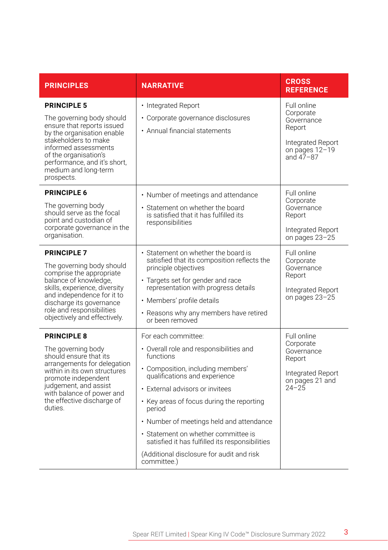| <b>PRINCIPLES</b>                                                                                                                                                                                                                                            | <b>NARRATIVE</b>                                                                                                                                                                                                                                                                                                                                                                                                                              | <b>CROSS</b><br><b>REFERENCE</b>                                                                         |
|--------------------------------------------------------------------------------------------------------------------------------------------------------------------------------------------------------------------------------------------------------------|-----------------------------------------------------------------------------------------------------------------------------------------------------------------------------------------------------------------------------------------------------------------------------------------------------------------------------------------------------------------------------------------------------------------------------------------------|----------------------------------------------------------------------------------------------------------|
| <b>PRINCIPLE 5</b><br>The governing body should<br>ensure that reports issued<br>by the organisation enable<br>stakeholders to make<br>informed assessments<br>of the organisation's<br>performance, and it's short,<br>medium and long-term<br>prospects.   | • Integrated Report<br>• Corporate governance disclosures<br>• Annual financial statements                                                                                                                                                                                                                                                                                                                                                    | Full online<br>Corporate<br>Governance<br>Report<br>Integrated Report<br>on pages 12-19<br>and $47 - 87$ |
| <b>PRINCIPLE 6</b><br>The governing body<br>should serve as the focal<br>point and custodian of<br>corporate governance in the<br>organisation.                                                                                                              | • Number of meetings and attendance<br>• Statement on whether the board<br>is satisfied that it has fulfilled its<br>responsibilities                                                                                                                                                                                                                                                                                                         | Full online<br>Corporate<br>Governance<br>Report<br>Integrated Report<br>on pages 23-25                  |
| <b>PRINCIPLE 7</b><br>The governing body should<br>comprise the appropriate<br>balance of knowledge.<br>skills, experience, diversity<br>and independence for it to<br>discharge its governance<br>role and responsibilities<br>objectively and effectively. | • Statement on whether the board is<br>satisfied that its composition reflects the<br>principle objectives<br>• Targets set for gender and race<br>representation with progress details<br>· Members' profile details<br>• Reasons why any members have retired<br>or been removed                                                                                                                                                            | Full online<br>Corporate<br>Governance<br>Report<br>Integrated Report<br>on pages 23-25                  |
| <b>PRINCIPLE 8</b><br>The governing body<br>should ensure that its<br>arrangements for delegation<br>within in its own structures<br>promote independent<br>judgement, and assist<br>with balance of power and<br>the effective discharge of<br>duties.      | For each committee:<br>• Overall role and responsibilities and<br>functions<br>• Composition, including members'<br>qualifications and experience<br>• External advisors or invitees<br>• Key areas of focus during the reporting<br>period<br>• Number of meetings held and attendance<br>• Statement on whether committee is<br>satisfied it has fulfilled its responsibilities<br>(Additional disclosure for audit and risk<br>committee.) | Full online<br>Corporate<br>Governance<br>Report<br>Integrated Report<br>on pages 21 and<br>$24 - 25$    |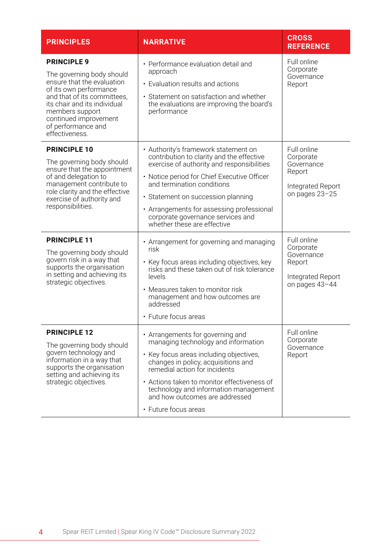| <b>PRINCIPLES</b>                                                                                                                                                                                                                                          | <b>NARRATIVE</b>                                                                                                                                                                                                                                                                                                                                                    | <b>CROSS</b><br><b>REFERENCE</b>                                                        |
|------------------------------------------------------------------------------------------------------------------------------------------------------------------------------------------------------------------------------------------------------------|---------------------------------------------------------------------------------------------------------------------------------------------------------------------------------------------------------------------------------------------------------------------------------------------------------------------------------------------------------------------|-----------------------------------------------------------------------------------------|
| <b>PRINCIPLE 9</b><br>The governing body should<br>ensure that the evaluation<br>of its own performance<br>and that of its committees.<br>its chair and its individual<br>members support<br>continued improvement<br>of performance and<br>effectiveness. | • Performance evaluation detail and<br>approach<br>• Evaluation results and actions<br>• Statement on satisfaction and whether<br>the evaluations are improving the board's<br>performance                                                                                                                                                                          | Full online<br>Corporate<br>Governance<br>Report                                        |
| <b>PRINCIPLE 10</b><br>The governing body should<br>ensure that the appointment<br>of and delegation to<br>management contribute to<br>role clarity and the effective<br>exercise of authority and<br>responsibilities.                                    | • Authority's framework statement on<br>contribution to clarity and the effective<br>exercise of authority and responsibilities<br>• Notice period for Chief Executive Officer<br>and termination conditions<br>· Statement on succession planning<br>• Arrangements for assessing professional<br>corporate governance services and<br>whether these are effective | Full online<br>Corporate<br>Governance<br>Report<br>Integrated Report<br>on pages 23-25 |
| <b>PRINCIPLE 11</b><br>The governing body should<br>govern risk in a way that<br>supports the organisation<br>in setting and achieving its<br>strategic objectives.                                                                                        | • Arrangement for governing and managing<br>risk<br>• Key focus areas including objectives, key<br>risks and these taken out of risk tolerance<br>levels<br>• Measures taken to monitor risk<br>management and how outcomes are<br>addressed<br>• Future focus areas                                                                                                | Full online<br>Corporate<br>Governance<br>Report<br>Integrated Report<br>on pages 43-44 |
| <b>PRINCIPLE 12</b><br>The governing body should<br>govern technology and<br>information in a way that<br>supports the organisation<br>setting and achieving its<br>strategic objectives.                                                                  | • Arrangements for governing and<br>managing technology and information<br>• Key focus areas including objectives,<br>changes in policy, acquisitions and<br>remedial action for incidents<br>• Actions taken to monitor effectiveness of<br>technology and information management<br>and how outcomes are addressed<br>• Future focus areas                        | Full online<br>Corporate<br>Governance<br>Report                                        |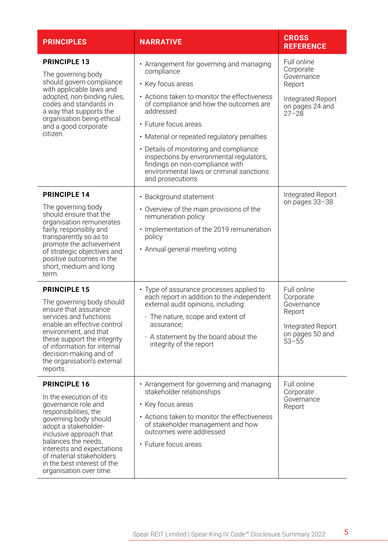| <b>PRINCIPLES</b>                                                                                                                                                                                                                                                                                                     | <b>NARRATIVE</b>                                                                                                                                                                                                                                                                                                                                                                                                                                   | <b>CROSS</b><br><b>REFERENCE</b>                                                                      |
|-----------------------------------------------------------------------------------------------------------------------------------------------------------------------------------------------------------------------------------------------------------------------------------------------------------------------|----------------------------------------------------------------------------------------------------------------------------------------------------------------------------------------------------------------------------------------------------------------------------------------------------------------------------------------------------------------------------------------------------------------------------------------------------|-------------------------------------------------------------------------------------------------------|
| <b>PRINCIPLE 13</b><br>The governing body<br>should govern compliance<br>with applicable laws and<br>adopted, non-binding rules,<br>codes and standards in<br>a way that supports the<br>organisation being ethical<br>and a good corporate<br>citizen.                                                               | • Arrangement for governing and managing<br>compliance<br>• Key focus areas<br>• Actions taken to monitor the effectiveness<br>of compliance and how the outcomes are<br>addressed<br>· Future focus areas<br>• Material or repeated regulatory penalties<br>• Details of monitoring and compliance<br>inspections by environmental regulators,<br>findings on non-compliance with<br>environmental laws or criminal sanctions<br>and prosecutions | Full online<br>Corporate<br>Governance<br>Report<br>Integrated Report<br>on pages 24 and<br>$27 - 28$ |
| <b>PRINCIPLE 14</b><br>The governing body<br>should ensure that the<br>organisation remunerates<br>fairly, responsibly and<br>transparently so as to<br>promote the achievement<br>of strategic objectives and<br>positive outcomes in the<br>short, medium and long<br>term.                                         | • Background statement<br>• Overview of the main provisions of the<br>remuneration policy<br>· Implementation of the 2019 remuneration<br>policy<br>• Annual general meeting voting                                                                                                                                                                                                                                                                | Integrated Report<br>on pages 33-38                                                                   |
| <b>PRINCIPLE 15</b><br>The governing body should<br>ensure that assurance<br>services and functions<br>enable an effective control<br>environment, and that<br>these support the integrity<br>of information for internal<br>decision-making and of<br>the organisation's external<br>reports.                        | • Type of assurance processes applied to<br>each report in addition to the independent<br>external audit opinions, including:<br>- The nature, scope and extent of<br>assurance:<br>- A statement by the board about the<br>integrity of the report                                                                                                                                                                                                | Full online<br>Corporate<br>Governance<br>Report<br>Integrated Report<br>on pages 50 and<br>$53 - 55$ |
| <b>PRINCIPLE 16</b><br>In the execution of its<br>governance role and<br>responsibilities, the<br>governing body should<br>adopt a stakeholder-<br>inclusive approach that<br>balances the needs.<br>interests and expectations<br>of material stakeholders<br>in the best interest of the<br>organisation over time. | • Arrangement for governing and managing<br>stakeholder relationships<br>• Key focus areas<br>• Actions taken to monitor the effectiveness<br>of stakeholder management and how<br>outcomes were addressed<br>• Future focus areas                                                                                                                                                                                                                 | Full online<br>Corporate<br>Governance<br>Report                                                      |